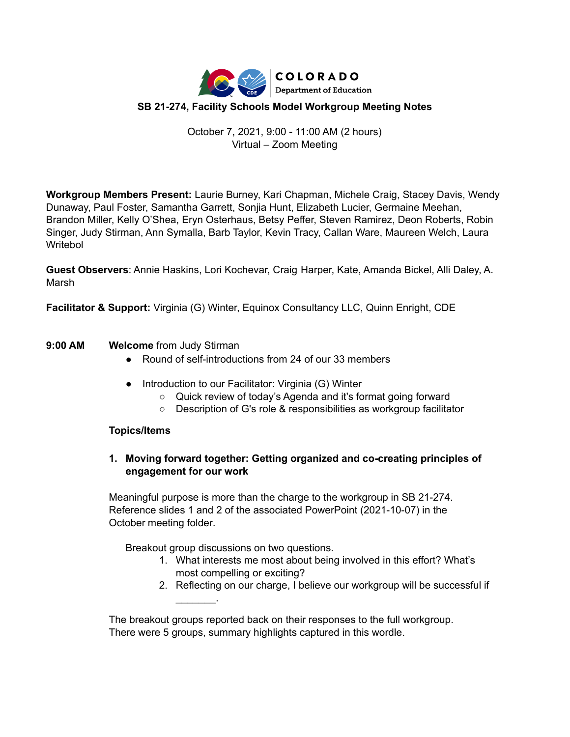

# October 7, 2021, 9:00 - 11:00 AM (2 hours) Virtual – Zoom Meeting

**Workgroup Members Present:** Laurie Burney, Kari Chapman, Michele Craig, Stacey Davis, Wendy Dunaway, Paul Foster, Samantha Garrett, Sonjia Hunt, Elizabeth Lucier, Germaine Meehan, Brandon Miller, Kelly O'Shea, Eryn Osterhaus, Betsy Peffer, Steven Ramirez, Deon Roberts, Robin Singer, Judy Stirman, Ann Symalla, Barb Taylor, Kevin Tracy, Callan Ware, Maureen Welch, Laura Writebol

**Guest Observers**: Annie Haskins, Lori Kochevar, Craig Harper, Kate, Amanda Bickel, Alli Daley, A. Marsh

**Facilitator & Support:** Virginia (G) Winter, Equinox Consultancy LLC, Quinn Enright, CDE

## **9:00 AM Welcome** from Judy Stirman

- Round of self-introductions from 24 of our 33 members
- Introduction to our Facilitator: Virginia (G) Winter
	- Quick review of today's Agenda and it's format going forward
	- Description of G's role & responsibilities as workgroup facilitator

### **Topics/Items**

## **1. Moving forward together: Getting organized and co-creating principles of engagement for our work**

Meaningful purpose is more than the charge to the workgroup in SB 21-274. Reference slides 1 and 2 of the associated PowerPoint (2021-10-07) in the October meeting folder.

Breakout group discussions on two questions.

 $\mathcal{L}$  and  $\mathcal{L}$ 

- 1. What interests me most about being involved in this effort? What's most compelling or exciting?
- 2. Reflecting on our charge, I believe our workgroup will be successful if

The breakout groups reported back on their responses to the full workgroup. There were 5 groups, summary highlights captured in this wordle.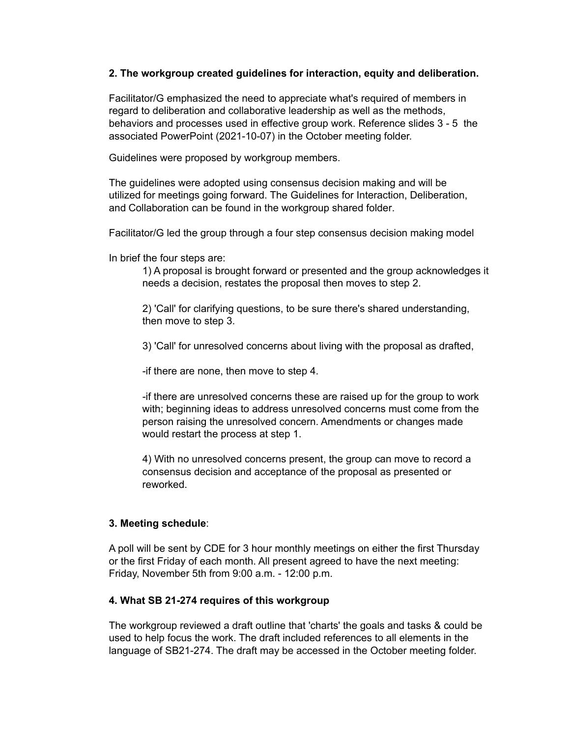#### **2. The workgroup created guidelines for interaction, equity and deliberation.**

Facilitator/G emphasized the need to appreciate what's required of members in regard to deliberation and collaborative leadership as well as the methods, behaviors and processes used in effective group work. Reference slides 3 - 5 the associated PowerPoint (2021-10-07) in the October meeting folder.

Guidelines were proposed by workgroup members.

The guidelines were adopted using consensus decision making and will be utilized for meetings going forward. The Guidelines for Interaction, Deliberation, and Collaboration can be found in the workgroup shared folder.

Facilitator/G led the group through a four step consensus decision making model

In brief the four steps are:

1) A proposal is brought forward or presented and the group acknowledges it needs a decision, restates the proposal then moves to step 2.

2) 'Call' for clarifying questions, to be sure there's shared understanding, then move to step 3.

3) 'Call' for unresolved concerns about living with the proposal as drafted,

-if there are none, then move to step 4.

-if there are unresolved concerns these are raised up for the group to work with; beginning ideas to address unresolved concerns must come from the person raising the unresolved concern. Amendments or changes made would restart the process at step 1.

4) With no unresolved concerns present, the group can move to record a consensus decision and acceptance of the proposal as presented or reworked.

### **3. Meeting schedule**:

A poll will be sent by CDE for 3 hour monthly meetings on either the first Thursday or the first Friday of each month. All present agreed to have the next meeting: Friday, November 5th from 9:00 a.m. - 12:00 p.m.

### **4. What SB 21-274 requires of this workgroup**

The workgroup reviewed a draft outline that 'charts' the goals and tasks & could be used to help focus the work. The draft included references to all elements in the language of SB21-274. The draft may be accessed in the October meeting folder.